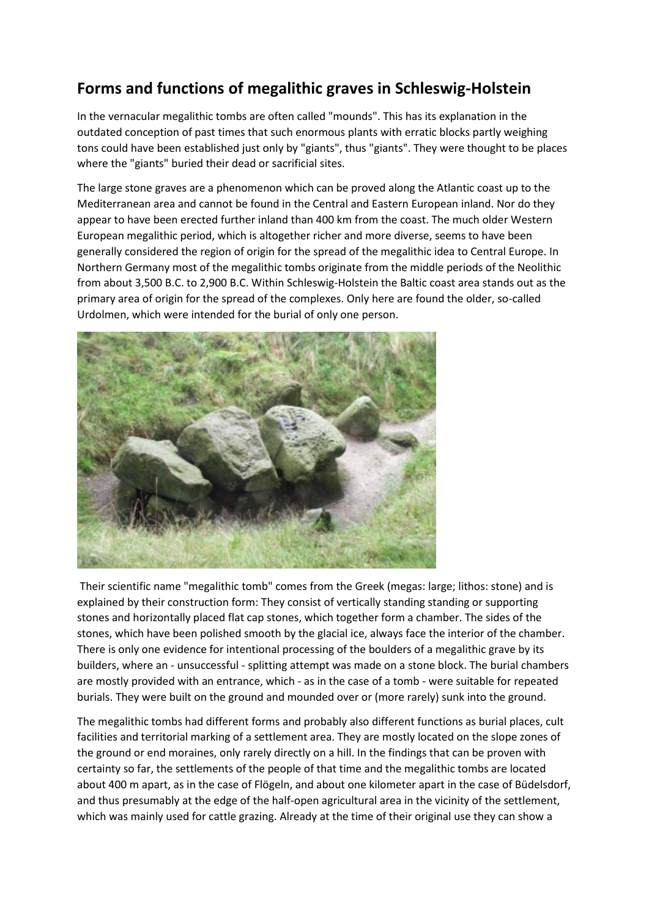## **Forms and functions of megalithic graves in Schleswig-Holstein**

In the vernacular megalithic tombs are often called "mounds". This has its explanation in the outdated conception of past times that such enormous plants with erratic blocks partly weighing tons could have been established just only by "giants", thus "giants". They were thought to be places where the "giants" buried their dead or sacrificial sites.

The large stone graves are a phenomenon which can be proved along the Atlantic coast up to the Mediterranean area and cannot be found in the Central and Eastern European inland. Nor do they appear to have been erected further inland than 400 km from the coast. The much older Western European megalithic period, which is altogether richer and more diverse, seems to have been generally considered the region of origin for the spread of the megalithic idea to Central Europe. In Northern Germany most of the megalithic tombs originate from the middle periods of the Neolithic from about 3,500 B.C. to 2,900 B.C. Within Schleswig-Holstein the Baltic coast area stands out as the primary area of origin for the spread of the complexes. Only here are found the older, so-called Urdolmen, which were intended for the burial of only one person.



Their scientific name "megalithic tomb" comes from the Greek (megas: large; lithos: stone) and is explained by their construction form: They consist of vertically standing standing or supporting stones and horizontally placed flat cap stones, which together form a chamber. The sides of the stones, which have been polished smooth by the glacial ice, always face the interior of the chamber. There is only one evidence for intentional processing of the boulders of a megalithic grave by its builders, where an - unsuccessful - splitting attempt was made on a stone block. The burial chambers are mostly provided with an entrance, which - as in the case of a tomb - were suitable for repeated burials. They were built on the ground and mounded over or (more rarely) sunk into the ground.

The megalithic tombs had different forms and probably also different functions as burial places, cult facilities and territorial marking of a settlement area. They are mostly located on the slope zones of the ground or end moraines, only rarely directly on a hill. In the findings that can be proven with certainty so far, the settlements of the people of that time and the megalithic tombs are located about 400 m apart, as in the case of Flögeln, and about one kilometer apart in the case of Büdelsdorf, and thus presumably at the edge of the half-open agricultural area in the vicinity of the settlement, which was mainly used for cattle grazing. Already at the time of their original use they can show a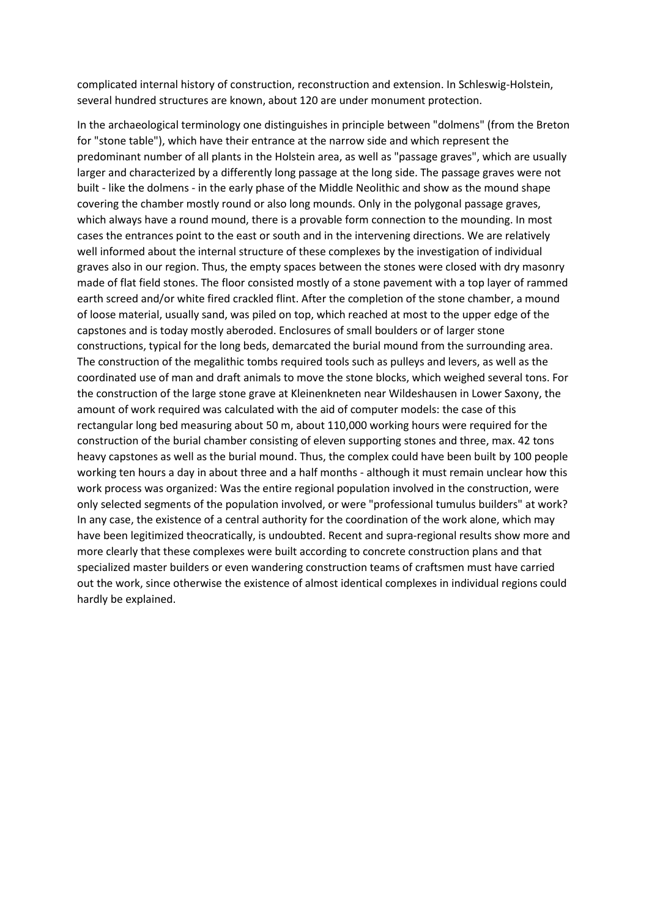complicated internal history of construction, reconstruction and extension. In Schleswig-Holstein, several hundred structures are known, about 120 are under monument protection.

In the archaeological terminology one distinguishes in principle between "dolmens" (from the Breton for "stone table"), which have their entrance at the narrow side and which represent the predominant number of all plants in the Holstein area, as well as "passage graves", which are usually larger and characterized by a differently long passage at the long side. The passage graves were not built - like the dolmens - in the early phase of the Middle Neolithic and show as the mound shape covering the chamber mostly round or also long mounds. Only in the polygonal passage graves, which always have a round mound, there is a provable form connection to the mounding. In most cases the entrances point to the east or south and in the intervening directions. We are relatively well informed about the internal structure of these complexes by the investigation of individual graves also in our region. Thus, the empty spaces between the stones were closed with dry masonry made of flat field stones. The floor consisted mostly of a stone pavement with a top layer of rammed earth screed and/or white fired crackled flint. After the completion of the stone chamber, a mound of loose material, usually sand, was piled on top, which reached at most to the upper edge of the capstones and is today mostly aberoded. Enclosures of small boulders or of larger stone constructions, typical for the long beds, demarcated the burial mound from the surrounding area. The construction of the megalithic tombs required tools such as pulleys and levers, as well as the coordinated use of man and draft animals to move the stone blocks, which weighed several tons. For the construction of the large stone grave at Kleinenkneten near Wildeshausen in Lower Saxony, the amount of work required was calculated with the aid of computer models: the case of this rectangular long bed measuring about 50 m, about 110,000 working hours were required for the construction of the burial chamber consisting of eleven supporting stones and three, max. 42 tons heavy capstones as well as the burial mound. Thus, the complex could have been built by 100 people working ten hours a day in about three and a half months - although it must remain unclear how this work process was organized: Was the entire regional population involved in the construction, were only selected segments of the population involved, or were "professional tumulus builders" at work? In any case, the existence of a central authority for the coordination of the work alone, which may have been legitimized theocratically, is undoubted. Recent and supra-regional results show more and more clearly that these complexes were built according to concrete construction plans and that specialized master builders or even wandering construction teams of craftsmen must have carried out the work, since otherwise the existence of almost identical complexes in individual regions could hardly be explained.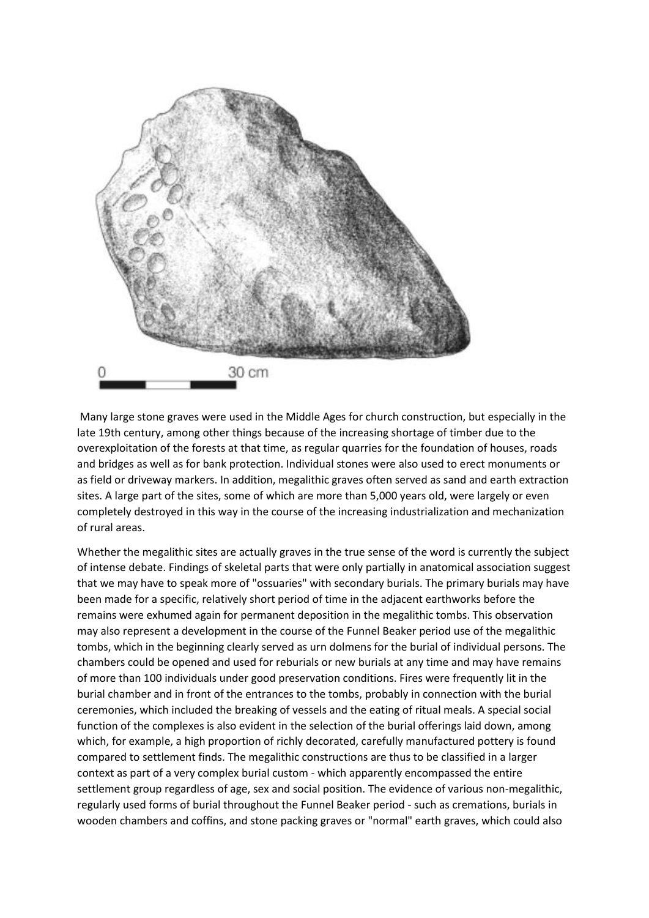

Many large stone graves were used in the Middle Ages for church construction, but especially in the late 19th century, among other things because of the increasing shortage of timber due to the overexploitation of the forests at that time, as regular quarries for the foundation of houses, roads and bridges as well as for bank protection. Individual stones were also used to erect monuments or as field or driveway markers. In addition, megalithic graves often served as sand and earth extraction sites. A large part of the sites, some of which are more than 5,000 years old, were largely or even completely destroyed in this way in the course of the increasing industrialization and mechanization of rural areas.

Whether the megalithic sites are actually graves in the true sense of the word is currently the subject of intense debate. Findings of skeletal parts that were only partially in anatomical association suggest that we may have to speak more of "ossuaries" with secondary burials. The primary burials may have been made for a specific, relatively short period of time in the adjacent earthworks before the remains were exhumed again for permanent deposition in the megalithic tombs. This observation may also represent a development in the course of the Funnel Beaker period use of the megalithic tombs, which in the beginning clearly served as urn dolmens for the burial of individual persons. The chambers could be opened and used for reburials or new burials at any time and may have remains of more than 100 individuals under good preservation conditions. Fires were frequently lit in the burial chamber and in front of the entrances to the tombs, probably in connection with the burial ceremonies, which included the breaking of vessels and the eating of ritual meals. A special social function of the complexes is also evident in the selection of the burial offerings laid down, among which, for example, a high proportion of richly decorated, carefully manufactured pottery is found compared to settlement finds. The megalithic constructions are thus to be classified in a larger context as part of a very complex burial custom - which apparently encompassed the entire settlement group regardless of age, sex and social position. The evidence of various non-megalithic, regularly used forms of burial throughout the Funnel Beaker period - such as cremations, burials in wooden chambers and coffins, and stone packing graves or "normal" earth graves, which could also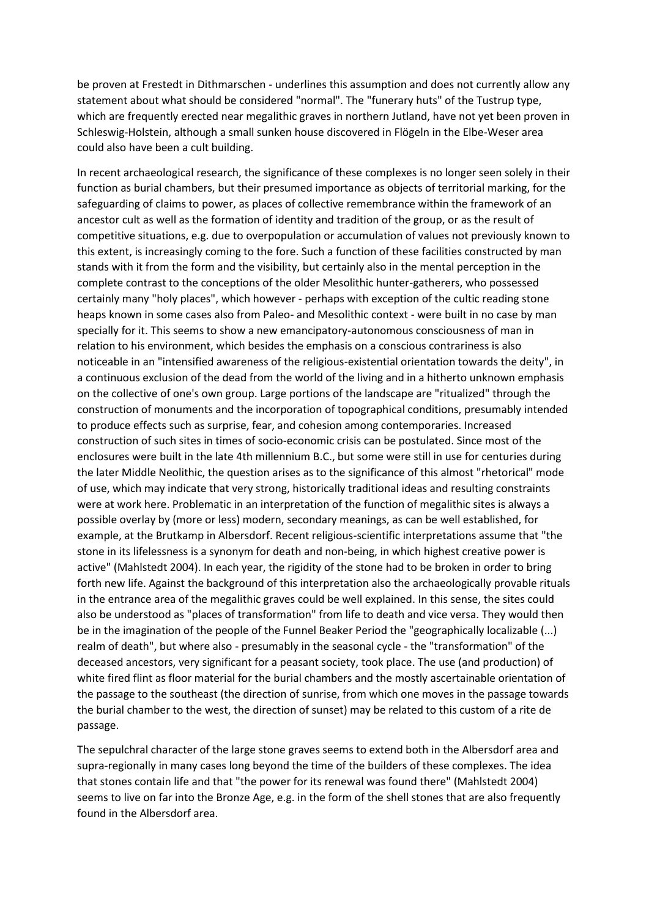be proven at Frestedt in Dithmarschen - underlines this assumption and does not currently allow any statement about what should be considered "normal". The "funerary huts" of the Tustrup type, which are frequently erected near megalithic graves in northern Jutland, have not yet been proven in Schleswig-Holstein, although a small sunken house discovered in Flögeln in the Elbe-Weser area could also have been a cult building.

In recent archaeological research, the significance of these complexes is no longer seen solely in their function as burial chambers, but their presumed importance as objects of territorial marking, for the safeguarding of claims to power, as places of collective remembrance within the framework of an ancestor cult as well as the formation of identity and tradition of the group, or as the result of competitive situations, e.g. due to overpopulation or accumulation of values not previously known to this extent, is increasingly coming to the fore. Such a function of these facilities constructed by man stands with it from the form and the visibility, but certainly also in the mental perception in the complete contrast to the conceptions of the older Mesolithic hunter-gatherers, who possessed certainly many "holy places", which however - perhaps with exception of the cultic reading stone heaps known in some cases also from Paleo- and Mesolithic context - were built in no case by man specially for it. This seems to show a new emancipatory-autonomous consciousness of man in relation to his environment, which besides the emphasis on a conscious contrariness is also noticeable in an "intensified awareness of the religious-existential orientation towards the deity", in a continuous exclusion of the dead from the world of the living and in a hitherto unknown emphasis on the collective of one's own group. Large portions of the landscape are "ritualized" through the construction of monuments and the incorporation of topographical conditions, presumably intended to produce effects such as surprise, fear, and cohesion among contemporaries. Increased construction of such sites in times of socio-economic crisis can be postulated. Since most of the enclosures were built in the late 4th millennium B.C., but some were still in use for centuries during the later Middle Neolithic, the question arises as to the significance of this almost "rhetorical" mode of use, which may indicate that very strong, historically traditional ideas and resulting constraints were at work here. Problematic in an interpretation of the function of megalithic sites is always a possible overlay by (more or less) modern, secondary meanings, as can be well established, for example, at the Brutkamp in Albersdorf. Recent religious-scientific interpretations assume that "the stone in its lifelessness is a synonym for death and non-being, in which highest creative power is active" (Mahlstedt 2004). In each year, the rigidity of the stone had to be broken in order to bring forth new life. Against the background of this interpretation also the archaeologically provable rituals in the entrance area of the megalithic graves could be well explained. In this sense, the sites could also be understood as "places of transformation" from life to death and vice versa. They would then be in the imagination of the people of the Funnel Beaker Period the "geographically localizable (...) realm of death", but where also - presumably in the seasonal cycle - the "transformation" of the deceased ancestors, very significant for a peasant society, took place. The use (and production) of white fired flint as floor material for the burial chambers and the mostly ascertainable orientation of the passage to the southeast (the direction of sunrise, from which one moves in the passage towards the burial chamber to the west, the direction of sunset) may be related to this custom of a rite de passage.

The sepulchral character of the large stone graves seems to extend both in the Albersdorf area and supra-regionally in many cases long beyond the time of the builders of these complexes. The idea that stones contain life and that "the power for its renewal was found there" (Mahlstedt 2004) seems to live on far into the Bronze Age, e.g. in the form of the shell stones that are also frequently found in the Albersdorf area.